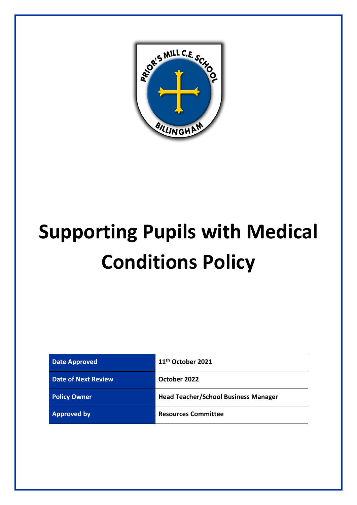

# **Supporting Pupils with Medical Conditions Policy**

| <b>Date Approved</b>       | 11 <sup>th</sup> October 2021               |
|----------------------------|---------------------------------------------|
| <b>Date of Next Review</b> | October 2022                                |
| <b>Policy Owner</b>        | <b>Head Teacher/School Business Manager</b> |
| <b>Approved by</b>         | <b>Resources Committee</b>                  |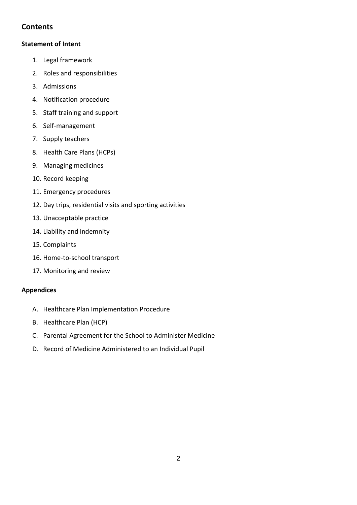# **Contents**

#### **Statement of Intent**

- 1. Legal framework
- 2. Roles and responsibilities
- 3. Admissions
- 4. Notification procedure
- 5. Staff training and support
- 6. Self-management
- 7. Supply teachers
- 8. Health Care Plans (HCPs)
- 9. Managing medicines
- 10. Record keeping
- 11. Emergency procedures
- 12. Day trips, residential visits and sporting activities
- 13. Unacceptable practice
- 14. Liability and indemnity
- 15. Complaints
- 16. Home-to-school transport
- 17. Monitoring and review

#### **Appendices**

- A. Healthcare Plan Implementation Procedure
- B. Healthcare Plan (HCP)
- C. Parental Agreement for the School to Administer Medicine
- D. Record of Medicine Administered to an Individual Pupil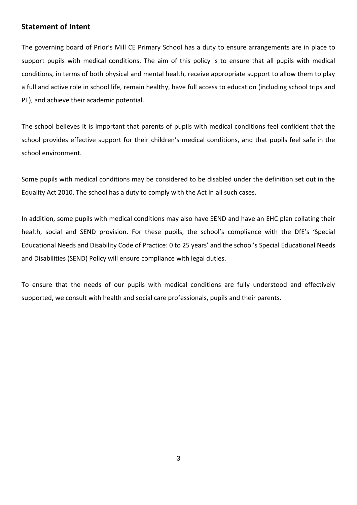## **Statement of Intent**

The governing board of Prior's Mill CE Primary School has a duty to ensure arrangements are in place to support pupils with medical conditions. The aim of this policy is to ensure that all pupils with medical conditions, in terms of both physical and mental health, receive appropriate support to allow them to play a full and active role in school life, remain healthy, have full access to education (including school trips and PE), and achieve their academic potential.

The school believes it is important that parents of pupils with medical conditions feel confident that the school provides effective support for their children's medical conditions, and that pupils feel safe in the school environment.

Some pupils with medical conditions may be considered to be disabled under the definition set out in the Equality Act 2010. The school has a duty to comply with the Act in all such cases.

In addition, some pupils with medical conditions may also have SEND and have an EHC plan collating their health, social and SEND provision. For these pupils, the school's compliance with the DfE's 'Special Educational Needs and Disability Code of Practice: 0 to 25 years' and the school's Special Educational Needs and Disabilities (SEND) Policy will ensure compliance with legal duties.

To ensure that the needs of our pupils with medical conditions are fully understood and effectively supported, we consult with health and social care professionals, pupils and their parents.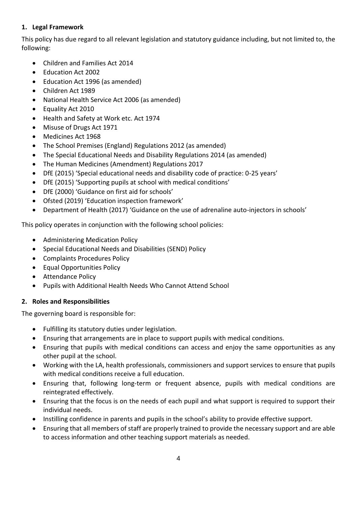## **1. Legal Framework**

This policy has due regard to all relevant legislation and statutory guidance including, but not limited to, the following:

- Children and Families Act 2014
- Education Act 2002
- Education Act 1996 (as amended)
- Children Act 1989
- National Health Service Act 2006 (as amended)
- Equality Act 2010
- Health and Safety at Work etc. Act 1974
- Misuse of Drugs Act 1971
- Medicines Act 1968
- The School Premises (England) Regulations 2012 (as amended)
- The Special Educational Needs and Disability Regulations 2014 (as amended)
- The Human Medicines (Amendment) Regulations 2017
- DfE (2015) 'Special educational needs and disability code of practice: 0-25 years'
- DfE (2015) 'Supporting pupils at school with medical conditions'
- DfE (2000) 'Guidance on first aid for schools'
- Ofsted (2019) 'Education inspection framework'
- Department of Health (2017) 'Guidance on the use of adrenaline auto-injectors in schools'

This policy operates in conjunction with the following school policies:

- Administering Medication Policy
- Special Educational Needs and Disabilities (SEND) Policy
- Complaints Procedures Policy
- Equal Opportunities Policy
- Attendance Policy
- Pupils with Additional Health Needs Who Cannot Attend School

# **2. Roles and Responsibilities**

The governing board is responsible for:

- Fulfilling its statutory duties under legislation.
- Ensuring that arrangements are in place to support pupils with medical conditions.
- Ensuring that pupils with medical conditions can access and enjoy the same opportunities as any other pupil at the school.
- Working with the LA, health professionals, commissioners and support services to ensure that pupils with medical conditions receive a full education.
- Ensuring that, following long-term or frequent absence, pupils with medical conditions are reintegrated effectively.
- Ensuring that the focus is on the needs of each pupil and what support is required to support their individual needs.
- Instilling confidence in parents and pupils in the school's ability to provide effective support.
- Ensuring that all members of staff are properly trained to provide the necessary support and are able to access information and other teaching support materials as needed.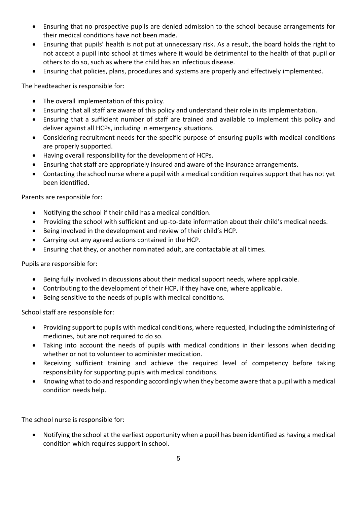- Ensuring that no prospective pupils are denied admission to the school because arrangements for their medical conditions have not been made.
- Ensuring that pupils' health is not put at unnecessary risk. As a result, the board holds the right to not accept a pupil into school at times where it would be detrimental to the health of that pupil or others to do so, such as where the child has an infectious disease.
- Ensuring that policies, plans, procedures and systems are properly and effectively implemented.

The headteacher is responsible for:

- The overall implementation of this policy.
- Ensuring that all staff are aware of this policy and understand their role in its implementation.
- Ensuring that a sufficient number of staff are trained and available to implement this policy and deliver against all HCPs, including in emergency situations.
- Considering recruitment needs for the specific purpose of ensuring pupils with medical conditions are properly supported.
- Having overall responsibility for the development of HCPs.
- Ensuring that staff are appropriately insured and aware of the insurance arrangements.
- Contacting the school nurse where a pupil with a medical condition requires support that has not yet been identified.

Parents are responsible for:

- Notifying the school if their child has a medical condition.
- Providing the school with sufficient and up-to-date information about their child's medical needs.
- Being involved in the development and review of their child's HCP.
- Carrying out any agreed actions contained in the HCP.
- Ensuring that they, or another nominated adult, are contactable at all times.

Pupils are responsible for:

- Being fully involved in discussions about their medical support needs, where applicable.
- Contributing to the development of their HCP, if they have one, where applicable.
- Being sensitive to the needs of pupils with medical conditions.

School staff are responsible for:

- Providing support to pupils with medical conditions, where requested, including the administering of medicines, but are not required to do so.
- Taking into account the needs of pupils with medical conditions in their lessons when deciding whether or not to volunteer to administer medication.
- Receiving sufficient training and achieve the required level of competency before taking responsibility for supporting pupils with medical conditions.
- Knowing what to do and responding accordingly when they become aware that a pupil with a medical condition needs help.

The school nurse is responsible for:

• Notifying the school at the earliest opportunity when a pupil has been identified as having a medical condition which requires support in school.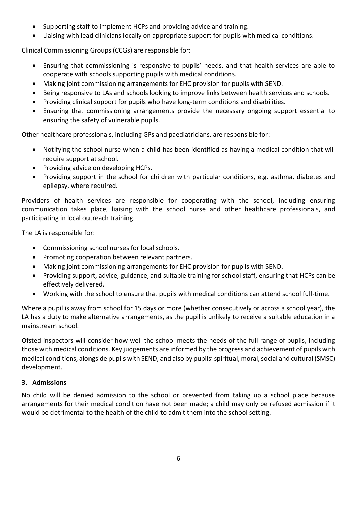- Supporting staff to implement HCPs and providing advice and training.
- Liaising with lead clinicians locally on appropriate support for pupils with medical conditions.

Clinical Commissioning Groups (CCGs) are responsible for:

- Ensuring that commissioning is responsive to pupils' needs, and that health services are able to cooperate with schools supporting pupils with medical conditions.
- Making joint commissioning arrangements for EHC provision for pupils with SEND.
- Being responsive to LAs and schools looking to improve links between health services and schools.
- Providing clinical support for pupils who have long-term conditions and disabilities.
- Ensuring that commissioning arrangements provide the necessary ongoing support essential to ensuring the safety of vulnerable pupils.

Other healthcare professionals, including GPs and paediatricians, are responsible for:

- Notifying the school nurse when a child has been identified as having a medical condition that will require support at school.
- Providing advice on developing HCPs.
- Providing support in the school for children with particular conditions, e.g. asthma, diabetes and epilepsy, where required.

Providers of health services are responsible for cooperating with the school, including ensuring communication takes place, liaising with the school nurse and other healthcare professionals, and participating in local outreach training.

The LA is responsible for:

- Commissioning school nurses for local schools.
- Promoting cooperation between relevant partners.
- Making joint commissioning arrangements for EHC provision for pupils with SEND.
- Providing support, advice, guidance, and suitable training for school staff, ensuring that HCPs can be effectively delivered.
- Working with the school to ensure that pupils with medical conditions can attend school full-time.

Where a pupil is away from school for 15 days or more (whether consecutively or across a school year), the LA has a duty to make alternative arrangements, as the pupil is unlikely to receive a suitable education in a mainstream school.

Ofsted inspectors will consider how well the school meets the needs of the full range of pupils, including those with medical conditions. Key judgements are informed by the progress and achievement of pupils with medical conditions, alongside pupils with SEND, and also by pupils' spiritual, moral, social and cultural (SMSC) development.

#### **3. Admissions**

No child will be denied admission to the school or prevented from taking up a school place because arrangements for their medical condition have not been made; a child may only be refused admission if it would be detrimental to the health of the child to admit them into the school setting.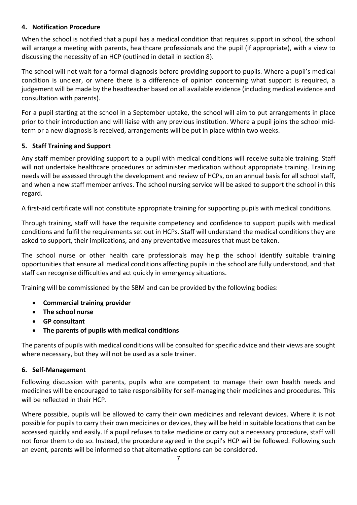#### **4. Notification Procedure**

When the school is notified that a pupil has a medical condition that requires support in school, the school will arrange a meeting with parents, healthcare professionals and the pupil (if appropriate), with a view to discussing the necessity of an HCP (outlined in detail i[n section 8\)](#page-7-0).

The school will not wait for a formal diagnosis before providing support to pupils. Where a pupil's medical condition is unclear, or where there is a difference of opinion concerning what support is required, a judgement will be made by the headteacher based on all available evidence (including medical evidence and consultation with parents).

For a pupil starting at the school in a September uptake, the school will aim to put arrangements in place prior to their introduction and will liaise with any previous institution. Where a pupil joins the school midterm or a new diagnosis is received, arrangements will be put in place within two weeks.

#### **5. Staff Training and Support**

Any staff member providing support to a pupil with medical conditions will receive suitable training. Staff will not undertake healthcare procedures or administer medication without appropriate training. Training needs will be assessed through the development and review of HCPs, on an annual basis for all school staff, and when a new staff member arrives. The school nursing service will be asked to support the school in this regard.

A first-aid certificate will not constitute appropriate training for supporting pupils with medical conditions.

Through training, staff will have the requisite competency and confidence to support pupils with medical conditions and fulfil the requirements set out in HCPs. Staff will understand the medical conditions they are asked to support, their implications, and any preventative measures that must be taken.

The school nurse or other health care professionals may help the school identify suitable training opportunities that ensure all medical conditions affecting pupils in the school are fully understood, and that staff can recognise difficulties and act quickly in emergency situations.

Training will be commissioned by the SBM and can be provided by the following bodies:

- **Commercial training provider**
- **The school nurse**
- **GP consultant**
- **The parents of pupils with medical conditions**

The parents of pupils with medical conditions will be consulted for specific advice and their views are sought where necessary, but they will not be used as a sole trainer.

#### **6. Self-Management**

Following discussion with parents, pupils who are competent to manage their own health needs and medicines will be encouraged to take responsibility for self-managing their medicines and procedures. This will be reflected in their HCP.

Where possible, pupils will be allowed to carry their own medicines and relevant devices. Where it is not possible for pupils to carry their own medicines or devices, they will be held in suitable locations that can be accessed quickly and easily. If a pupil refuses to take medicine or carry out a necessary procedure, staff will not force them to do so. Instead, the procedure agreed in the pupil's HCP will be followed. Following such an event, parents will be informed so that alternative options can be considered.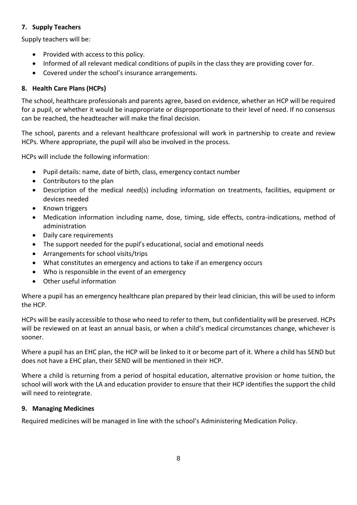## **7. Supply Teachers**

Supply teachers will be:

- Provided with access to this policy.
- Informed of all relevant medical conditions of pupils in the class they are providing cover for.
- Covered under the school's insurance arrangements.

# <span id="page-7-0"></span>**8. Health Care Plans (HCPs)**

The school, healthcare professionals and parents agree, based on evidence, whether an HCP will be required for a pupil, or whether it would be inappropriate or disproportionate to their level of need. If no consensus can be reached, the headteacher will make the final decision.

The school, parents and a relevant healthcare professional will work in partnership to create and review HCPs. Where appropriate, the pupil will also be involved in the process.

HCPs will include the following information:

- Pupil details: name, date of birth, class, emergency contact number
- Contributors to the plan
- Description of the medical need(s) including information on treatments, facilities, equipment or devices needed
- Known triggers
- Medication information including name, dose, timing, side effects, contra-indications, method of administration
- Daily care requirements
- The support needed for the pupil's educational, social and emotional needs
- Arrangements for school visits/trips
- What constitutes an emergency and actions to take if an emergency occurs
- Who is responsible in the event of an emergency
- Other useful information

Where a pupil has an emergency healthcare plan prepared by their lead clinician, this will be used to inform the HCP.

HCPs will be easily accessible to those who need to refer to them, but confidentiality will be preserved. HCPs will be reviewed on at least an annual basis, or when a child's medical circumstances change, whichever is sooner.

Where a pupil has an EHC plan, the HCP will be linked to it or become part of it. Where a child has SEND but does not have a EHC plan, their SEND will be mentioned in their HCP.

Where a child is returning from a period of hospital education, alternative provision or home tuition, the school will work with the LA and education provider to ensure that their HCP identifies the support the child will need to reintegrate.

# **9. Managing Medicines**

Required medicines will be managed in line with the school's Administering Medication Policy.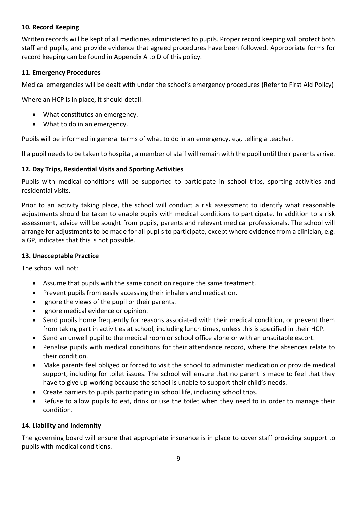#### **10. Record Keeping**

Written records will be kept of all medicines administered to pupils. Proper record keeping will protect both staff and pupils, and provide evidence that agreed procedures have been followed. Appropriate forms for record keeping can be found in Appendix A to D of this policy.

#### **11. Emergency Procedures**

Medical emergencies will be dealt with under the school's emergency procedures (Refer to First Aid Policy)

Where an HCP is in place, it should detail:

- What constitutes an emergency.
- What to do in an emergency.

Pupils will be informed in general terms of what to do in an emergency, e.g. telling a teacher.

If a pupil needs to be taken to hospital, a member of staff will remain with the pupil until their parents arrive.

#### **12. Day Trips, Residential Visits and Sporting Activities**

Pupils with medical conditions will be supported to participate in school trips, sporting activities and residential visits.

Prior to an activity taking place, the school will conduct a risk assessment to identify what reasonable adjustments should be taken to enable pupils with medical conditions to participate. In addition to a risk assessment, advice will be sought from pupils, parents and relevant medical professionals. The school will arrange for adjustments to be made for all pupils to participate, except where evidence from a clinician, e.g. a GP, indicates that this is not possible.

#### **13. Unacceptable Practice**

The school will not:

- Assume that pupils with the same condition require the same treatment.
- Prevent pupils from easily accessing their inhalers and medication.
- Ignore the views of the pupil or their parents.
- Ignore medical evidence or opinion.
- Send pupils home frequently for reasons associated with their medical condition, or prevent them from taking part in activities at school, including lunch times, unless this is specified in their HCP.
- Send an unwell pupil to the medical room or school office alone or with an unsuitable escort.
- Penalise pupils with medical conditions for their attendance record, where the absences relate to their condition.
- Make parents feel obliged or forced to visit the school to administer medication or provide medical support, including for toilet issues. The school will ensure that no parent is made to feel that they have to give up working because the school is unable to support their child's needs.
- Create barriers to pupils participating in school life, including school trips.
- Refuse to allow pupils to eat, drink or use the toilet when they need to in order to manage their condition.

#### **14. Liability and Indemnity**

The governing board will ensure that appropriate insurance is in place to cover staff providing support to pupils with medical conditions.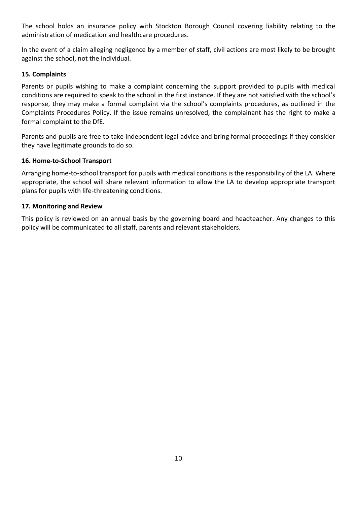The school holds an insurance policy with Stockton Borough Council covering liability relating to the administration of medication and healthcare procedures.

In the event of a claim alleging negligence by a member of staff, civil actions are most likely to be brought against the school, not the individual.

#### **15. Complaints**

Parents or pupils wishing to make a complaint concerning the support provided to pupils with medical conditions are required to speak to the school in the first instance. If they are not satisfied with the school's response, they may make a formal complaint via the school's complaints procedures, as outlined in the Complaints Procedures Policy. If the issue remains unresolved, the complainant has the right to make a formal complaint to the DfE.

Parents and pupils are free to take independent legal advice and bring formal proceedings if they consider they have legitimate grounds to do so.

#### **16. Home-to-School Transport**

Arranging home-to-school transport for pupils with medical conditions is the responsibility of the LA. Where appropriate, the school will share relevant information to allow the LA to develop appropriate transport plans for pupils with life-threatening conditions.

#### **17. Monitoring and Review**

This policy is reviewed on an annual basis by the governing board and headteacher. Any changes to this policy will be communicated to all staff, parents and relevant stakeholders.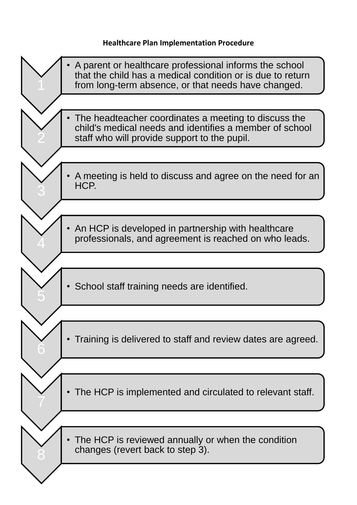# **Healthcare Plan Implementation Procedure**

| A parent or healthcare professional informs the school<br>that the child has a medical condition or is due to return<br>from long-term absence, or that needs have changed. |
|-----------------------------------------------------------------------------------------------------------------------------------------------------------------------------|
|                                                                                                                                                                             |
| The headteacher coordinates a meeting to discuss the<br>child's medical needs and identifies a member of school<br>staff who will provide support to the pupil.             |
|                                                                                                                                                                             |
| A meeting is held to discuss and agree on the need for an<br>HCP.                                                                                                           |
|                                                                                                                                                                             |
| An HCP is developed in partnership with healthcare<br>professionals, and agreement is reached on who leads.                                                                 |
|                                                                                                                                                                             |
| School staff training needs are identified.                                                                                                                                 |
|                                                                                                                                                                             |
| Training is delivered to staff and review dates are agreed.                                                                                                                 |
|                                                                                                                                                                             |
| The HCP is implemented and circulated to relevant staff.                                                                                                                    |
|                                                                                                                                                                             |
| The HCP is reviewed annually or when the condition<br>changes (revert back to step 3).                                                                                      |
|                                                                                                                                                                             |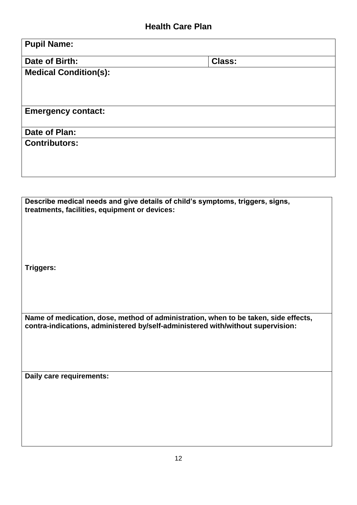| <b>Pupil Name:</b>           |               |  |
|------------------------------|---------------|--|
| Date of Birth:               | <b>Class:</b> |  |
| <b>Medical Condition(s):</b> |               |  |
|                              |               |  |
|                              |               |  |
| <b>Emergency contact:</b>    |               |  |
| Date of Plan:                |               |  |
| <b>Contributors:</b>         |               |  |
|                              |               |  |
|                              |               |  |

**Describe medical needs and give details of child's symptoms, triggers, signs, treatments, facilities, equipment or devices:**

**Triggers:**

**Name of medication, dose, method of administration, when to be taken, side effects, contra-indications, administered by/self-administered with/without supervision:**

**Daily care requirements:**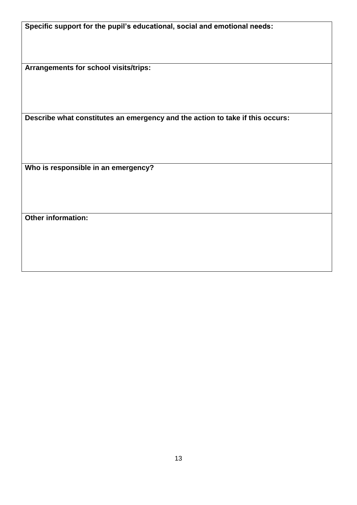**Specific support for the pupil's educational, social and emotional needs:**

**Arrangements for school visits/trips:**

**Describe what constitutes an emergency and the action to take if this occurs:**

**Who is responsible in an emergency?**

**Other information:**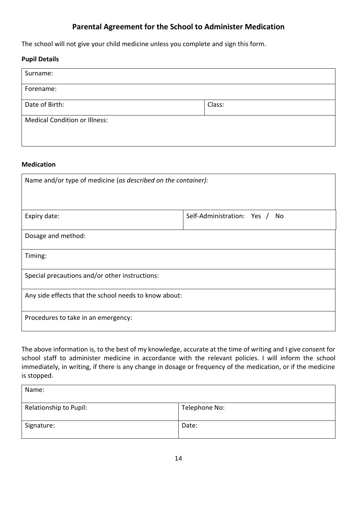# **Parental Agreement for the School to Administer Medication**

The school will not give your child medicine unless you complete and sign this form.

#### **Pupil Details**

| Surname:                             |        |
|--------------------------------------|--------|
| Forename:                            |        |
| Date of Birth:                       | Class: |
| <b>Medical Condition or Illness:</b> |        |

#### **Medication**

| Name and/or type of medicine (as described on the container): |                               |  |  |
|---------------------------------------------------------------|-------------------------------|--|--|
|                                                               |                               |  |  |
| Expiry date:                                                  | Self-Administration: Yes / No |  |  |
| Dosage and method:                                            |                               |  |  |
| Timing:                                                       |                               |  |  |
| Special precautions and/or other instructions:                |                               |  |  |
| Any side effects that the school needs to know about:         |                               |  |  |
| Procedures to take in an emergency:                           |                               |  |  |

The above information is, to the best of my knowledge, accurate at the time of writing and I give consent for school staff to administer medicine in accordance with the relevant policies. I will inform the school immediately, in writing, if there is any change in dosage or frequency of the medication, or if the medicine is stopped.

| Name:                  |               |
|------------------------|---------------|
| Relationship to Pupil: | Telephone No: |
| Signature:             | Date:         |